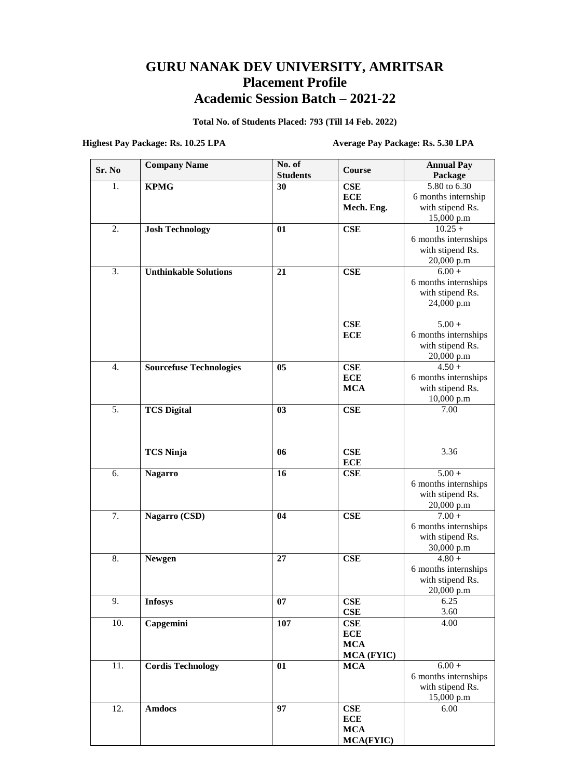## **GURU NANAK DEV UNIVERSITY, AMRITSAR Placement Profile Academic Session Batch – 2021-22**

**Total No. of Students Placed: 793 (Till 14 Feb. 2022)**

**Highest Pay Package: Rs. 10.25 LPA Average Pay Package: Rs. 5.30 LPA**

| Sr. No           | <b>Company Name</b>            | No. of<br><b>Students</b> | Course           | <b>Annual Pay</b><br>Package |
|------------------|--------------------------------|---------------------------|------------------|------------------------------|
| 1.               | <b>KPMG</b>                    | 30                        | CSE              | 5.80 to $6.\overline{30}$    |
|                  |                                |                           | <b>ECE</b>       | 6 months internship          |
|                  |                                |                           | Mech. Eng.       | with stipend Rs.             |
|                  |                                |                           |                  | 15,000 p.m                   |
| 2.               | <b>Josh Technology</b>         | 01                        | CSE              | $10.25 +$                    |
|                  |                                |                           |                  | 6 months internships         |
|                  |                                |                           |                  | with stipend Rs.             |
|                  |                                |                           |                  | 20,000 p.m                   |
| 3.               | <b>Unthinkable Solutions</b>   | 21                        | <b>CSE</b>       | $6.00 +$                     |
|                  |                                |                           |                  | 6 months internships         |
|                  |                                |                           |                  | with stipend Rs.             |
|                  |                                |                           |                  | 24,000 p.m                   |
|                  |                                |                           |                  |                              |
|                  |                                |                           | <b>CSE</b>       | $5.00 +$                     |
|                  |                                |                           | <b>ECE</b>       | 6 months internships         |
|                  |                                |                           |                  | with stipend Rs.             |
|                  |                                |                           |                  | 20,000 p.m                   |
| 4.               | <b>Sourcefuse Technologies</b> | 05                        | CSE              | $4.50 +$                     |
|                  |                                |                           | <b>ECE</b>       | 6 months internships         |
|                  |                                |                           | <b>MCA</b>       | with stipend Rs.             |
| $\overline{5}$ . |                                | 03                        | <b>CSE</b>       | 10,000 p.m<br>7.00           |
|                  | <b>TCS Digital</b>             |                           |                  |                              |
|                  |                                |                           |                  |                              |
|                  |                                |                           |                  |                              |
|                  | <b>TCS Ninja</b>               | 06                        | CSE              | 3.36                         |
|                  |                                |                           | <b>ECE</b>       |                              |
| 6.               | <b>Nagarro</b>                 | 16                        | <b>CSE</b>       | $5.00 +$                     |
|                  |                                |                           |                  | 6 months internships         |
|                  |                                |                           |                  | with stipend Rs.             |
|                  |                                |                           |                  | 20,000 p.m                   |
| 7.               | Nagarro (CSD)                  | 04                        | <b>CSE</b>       | $7.00 +$                     |
|                  |                                |                           |                  | 6 months internships         |
|                  |                                |                           |                  | with stipend Rs.             |
|                  |                                |                           |                  | 30,000 p.m                   |
| 8.               | <b>Newgen</b>                  | 27                        | <b>CSE</b>       | $4.80 +$                     |
|                  |                                |                           |                  | 6 months internships         |
|                  |                                |                           |                  | with stipend Rs.             |
|                  |                                |                           |                  | 20,000 p.m                   |
| 9.               | <b>Infosys</b>                 | 07                        | CSE              | 6.25                         |
|                  |                                |                           | CSE              | 3.60                         |
| 10.              | Capgemini                      | 107                       | CSE              | 4.00                         |
|                  |                                |                           | <b>ECE</b>       |                              |
|                  |                                |                           | <b>MCA</b>       |                              |
|                  |                                |                           | MCA (FYIC)       |                              |
| 11.              | <b>Cordis Technology</b>       | 01                        | <b>MCA</b>       | $6.00 +$                     |
|                  |                                |                           |                  | 6 months internships         |
|                  |                                |                           |                  | with stipend Rs.             |
| 12.              | <b>Amdocs</b>                  | 97                        | CSE              | 15,000 p.m<br>6.00           |
|                  |                                |                           | <b>ECE</b>       |                              |
|                  |                                |                           | <b>MCA</b>       |                              |
|                  |                                |                           | <b>MCA(FYIC)</b> |                              |
|                  |                                |                           |                  |                              |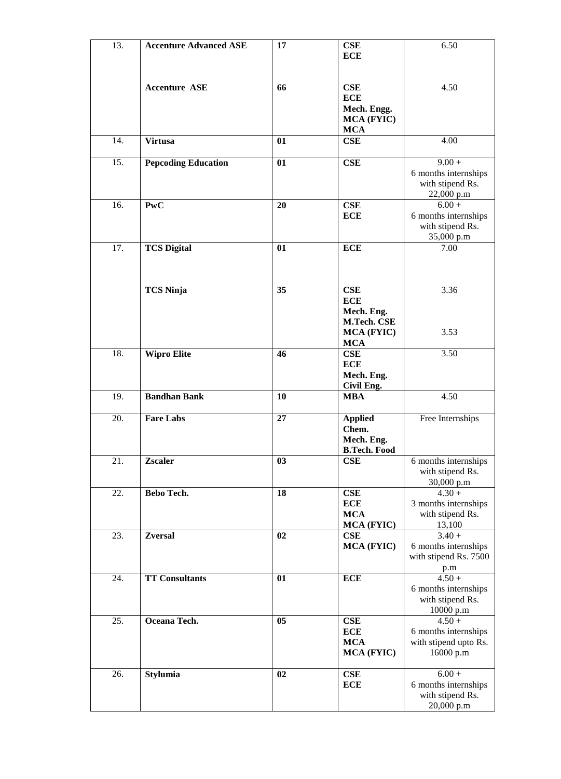| 13. | <b>Accenture Advanced ASE</b> | 17             | <b>CSE</b>                       | 6.50                                     |
|-----|-------------------------------|----------------|----------------------------------|------------------------------------------|
|     |                               |                | <b>ECE</b>                       |                                          |
|     |                               |                |                                  |                                          |
|     |                               |                |                                  |                                          |
|     | <b>Accenture ASE</b>          | 66             | CSE                              | 4.50                                     |
|     |                               |                | <b>ECE</b>                       |                                          |
|     |                               |                | Mech. Engg.<br><b>MCA (FYIC)</b> |                                          |
|     |                               |                | <b>MCA</b>                       |                                          |
| 14. | <b>Virtusa</b>                | 01             | CSE                              | 4.00                                     |
|     |                               |                |                                  |                                          |
| 15. | <b>Pepcoding Education</b>    | 01             | <b>CSE</b>                       | $9.00 +$                                 |
|     |                               |                |                                  | 6 months internships                     |
|     |                               |                |                                  | with stipend Rs.                         |
|     |                               |                |                                  | 22,000 p.m                               |
| 16. | PwC                           | 20             | CSE<br><b>ECE</b>                | $6.00 +$<br>6 months internships         |
|     |                               |                |                                  | with stipend Rs.                         |
|     |                               |                |                                  | 35,000 p.m                               |
| 17. | <b>TCS Digital</b>            | 01             | <b>ECE</b>                       | 7.00                                     |
|     |                               |                |                                  |                                          |
|     |                               |                |                                  |                                          |
|     |                               |                |                                  |                                          |
|     | <b>TCS Ninja</b>              | 35             | CSE                              | 3.36                                     |
|     |                               |                | <b>ECE</b>                       |                                          |
|     |                               |                | Mech. Eng.<br>M.Tech. CSE        |                                          |
|     |                               |                | <b>MCA (FYIC)</b>                | 3.53                                     |
|     |                               |                | <b>MCA</b>                       |                                          |
| 18. | <b>Wipro Elite</b>            | 46             | CSE                              | 3.50                                     |
|     |                               |                | <b>ECE</b>                       |                                          |
|     |                               |                | Mech. Eng.                       |                                          |
|     |                               |                | Civil Eng.                       |                                          |
| 19. | <b>Bandhan Bank</b>           | 10             | <b>MBA</b>                       | 4.50                                     |
| 20. | <b>Fare Labs</b>              | 27             | <b>Applied</b>                   | Free Internships                         |
|     |                               |                | Chem.                            |                                          |
|     |                               |                | Mech. Eng.                       |                                          |
|     |                               |                | <b>B.Tech. Food</b>              |                                          |
| 21. | <b>Zscaler</b>                | 03             | CSE                              | 6 months internships                     |
|     |                               |                |                                  | with stipend Rs.                         |
|     |                               |                |                                  | 30,000 p.m                               |
| 22. | Bebo Tech.                    | 18             | <b>CSE</b><br><b>ECE</b>         | $4.30 +$                                 |
|     |                               |                | <b>MCA</b>                       | 3 months internships<br>with stipend Rs. |
|     |                               |                | <b>MCA (FYIC)</b>                | 13,100                                   |
| 23. | <b>Zversal</b>                | 02             | CSE                              | $3.40 +$                                 |
|     |                               |                | <b>MCA (FYIC)</b>                | 6 months internships                     |
|     |                               |                |                                  | with stipend Rs. 7500                    |
|     |                               |                |                                  | p.m                                      |
| 24. | <b>TT Consultants</b>         | 01             | <b>ECE</b>                       | $4.50 +$                                 |
|     |                               |                |                                  | 6 months internships                     |
|     |                               |                |                                  | with stipend Rs.                         |
| 25. | Oceana Tech.                  | 0 <sub>5</sub> | CSE                              | 10000 p.m<br>$4.50 +$                    |
|     |                               |                | <b>ECE</b>                       | 6 months internships                     |
|     |                               |                | <b>MCA</b>                       | with stipend upto Rs.                    |
|     |                               |                | <b>MCA (FYIC)</b>                | 16000 p.m                                |
|     |                               |                |                                  |                                          |
| 26. | <b>Stylumia</b>               | 02             | <b>CSE</b>                       | $6.00 +$                                 |
|     |                               |                | <b>ECE</b>                       | 6 months internships                     |
|     |                               |                |                                  | with stipend Rs.                         |
|     |                               |                |                                  | 20,000 p.m                               |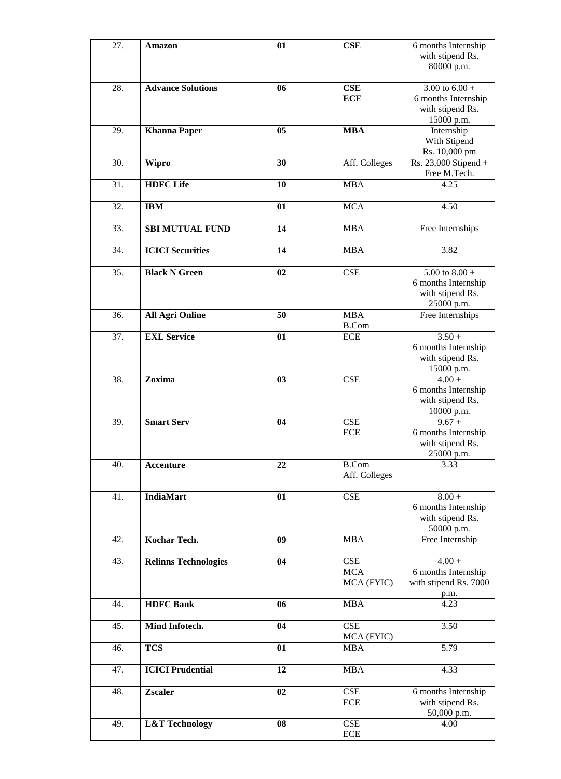| 27. | <b>Amazon</b>               | 01             | <b>CSE</b>                  | 6 months Internship   |
|-----|-----------------------------|----------------|-----------------------------|-----------------------|
|     |                             |                |                             | with stipend Rs.      |
|     |                             |                |                             | 80000 p.m.            |
|     |                             |                |                             |                       |
| 28. | <b>Advance Solutions</b>    | 06             | <b>CSE</b>                  | 3.00 to $6.00 +$      |
|     |                             |                | <b>ECE</b>                  | 6 months Internship   |
|     |                             |                |                             | with stipend Rs.      |
|     |                             |                |                             | 15000 p.m.            |
| 29. | <b>Khanna Paper</b>         | 05             | <b>MBA</b>                  | Internship            |
|     |                             |                |                             | With Stipend          |
|     |                             |                |                             | Rs. 10,000 pm         |
| 30. | <b>Wipro</b>                | 30             | Aff. Colleges               | Rs. 23,000 Stipend +  |
|     |                             |                |                             | Free M.Tech.          |
| 31. | <b>HDFC</b> Life            | 10             |                             | 4.25                  |
|     |                             |                | <b>MBA</b>                  |                       |
| 32. |                             |                | <b>MCA</b>                  | 4.50                  |
|     | <b>IBM</b>                  | 01             |                             |                       |
|     |                             |                |                             |                       |
| 33. | <b>SBI MUTUAL FUND</b>      | 14             | <b>MBA</b>                  | Free Internships      |
|     |                             |                |                             |                       |
| 34. | <b>ICICI Securities</b>     | 14             | <b>MBA</b>                  | 3.82                  |
|     |                             |                |                             |                       |
| 35. | <b>Black N Green</b>        | 02             | <b>CSE</b>                  | 5.00 to $8.00 +$      |
|     |                             |                |                             | 6 months Internship   |
|     |                             |                |                             | with stipend Rs.      |
|     |                             |                |                             | 25000 p.m.            |
| 36. | <b>All Agri Online</b>      | 50             | <b>MBA</b>                  | Free Internships      |
|     |                             |                | <b>B.Com</b>                |                       |
| 37. | <b>EXL Service</b>          | 01             | <b>ECE</b>                  | $3.50 +$              |
|     |                             |                |                             | 6 months Internship   |
|     |                             |                |                             | with stipend Rs.      |
|     |                             |                |                             | 15000 p.m.            |
| 38. | Zoxima                      | 0 <sub>3</sub> | <b>CSE</b>                  | $4.00 +$              |
|     |                             |                |                             | 6 months Internship   |
|     |                             |                |                             | with stipend Rs.      |
|     |                             |                |                             | 10000 p.m.            |
| 39. | <b>Smart Serv</b>           | 04             | <b>CSE</b>                  | $9.67 +$              |
|     |                             |                | <b>ECE</b>                  | 6 months Internship   |
|     |                             |                |                             | with stipend Rs.      |
|     |                             |                |                             | 25000 p.m.            |
| 40. | Accenture                   | 22             | <b>B.Com</b>                | 3.33                  |
|     |                             |                | Aff. Colleges               |                       |
|     |                             |                |                             |                       |
| 41. | <b>IndiaMart</b>            | 01             | $\ensuremath{\mathsf{CSE}}$ | $8.00 +$              |
|     |                             |                |                             | 6 months Internship   |
|     |                             |                |                             | with stipend Rs.      |
|     |                             |                |                             | 50000 p.m.            |
| 42. | Kochar Tech.                | 09             | <b>MBA</b>                  | Free Internship       |
|     |                             |                |                             |                       |
| 43. | <b>Relinns Technologies</b> | 04             | $\ensuremath{\mathsf{CSE}}$ | $4.00 +$              |
|     |                             |                | <b>MCA</b>                  | 6 months Internship   |
|     |                             |                | MCA (FYIC)                  | with stipend Rs. 7000 |
|     |                             |                |                             | p.m.                  |
| 44. | <b>HDFC Bank</b>            | 06             | <b>MBA</b>                  | 4.23                  |
|     |                             |                |                             |                       |
| 45. | Mind Infotech.              | 04             | <b>CSE</b>                  | 3.50                  |
|     |                             |                | MCA (FYIC)                  |                       |
| 46. | <b>TCS</b>                  | 01             | <b>MBA</b>                  | $\overline{5.79}$     |
|     |                             |                |                             |                       |
| 47. | <b>ICICI Prudential</b>     | 12             | <b>MBA</b>                  | 4.33                  |
|     |                             |                |                             |                       |
| 48. | <b>Zscaler</b>              | 02             | CSE                         | 6 months Internship   |
|     |                             |                | $\rm ECE$                   | with stipend Rs.      |
|     |                             |                |                             | 50,000 p.m.           |
| 49. | <b>L&amp;T</b> Technology   | 08             | $\ensuremath{\mathsf{CSE}}$ | 4.00                  |
|     |                             |                | $\rm ECE$                   |                       |
|     |                             |                |                             |                       |